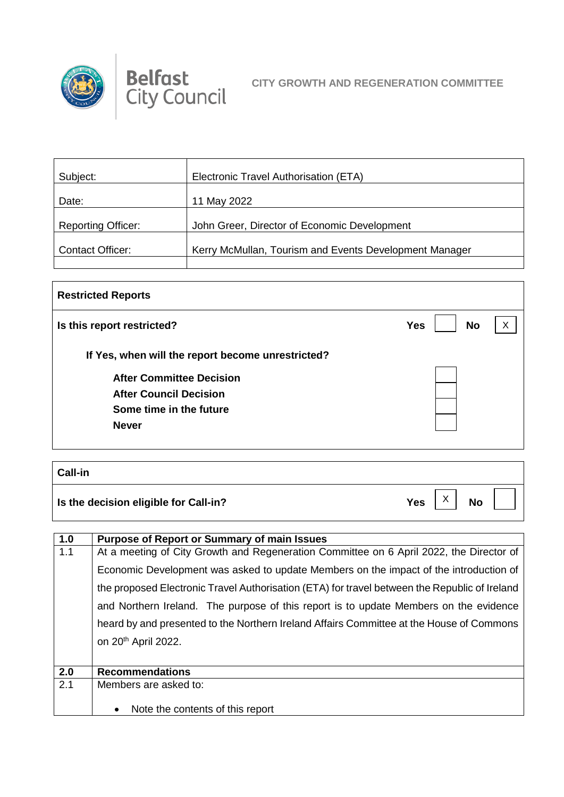



| Subject:                  | Electronic Travel Authorisation (ETA)                  |
|---------------------------|--------------------------------------------------------|
| Date:                     | 11 May 2022                                            |
| <b>Reporting Officer:</b> | John Greer, Director of Economic Development           |
| <b>Contact Officer:</b>   | Kerry McMullan, Tourism and Events Development Manager |
|                           |                                                        |

| <b>Restricted Reports</b>                         |                         |   |
|---------------------------------------------------|-------------------------|---|
| Is this report restricted?                        | <b>No</b><br><b>Yes</b> | X |
| If Yes, when will the report become unrestricted? |                         |   |
| <b>After Committee Decision</b>                   |                         |   |
| <b>After Council Decision</b>                     |                         |   |
| Some time in the future                           |                         |   |
| <b>Never</b>                                      |                         |   |
|                                                   |                         |   |
|                                                   |                         |   |
| <b>Call-in</b>                                    |                         |   |

| <b>Vall-III</b>                       |                      |           |  |
|---------------------------------------|----------------------|-----------|--|
| Is the decision eligible for Call-in? | $\mathbf{v}$<br>Yes, | <b>No</b> |  |

| 1.0 | <b>Purpose of Report or Summary of main Issues</b>                                            |
|-----|-----------------------------------------------------------------------------------------------|
| 1.1 | At a meeting of City Growth and Regeneration Committee on 6 April 2022, the Director of       |
|     | Economic Development was asked to update Members on the impact of the introduction of         |
|     | the proposed Electronic Travel Authorisation (ETA) for travel between the Republic of Ireland |
|     | and Northern Ireland. The purpose of this report is to update Members on the evidence         |
|     | heard by and presented to the Northern Ireland Affairs Committee at the House of Commons      |
|     | on 20 <sup>th</sup> April 2022.                                                               |
|     |                                                                                               |
| 2.0 | <b>Recommendations</b>                                                                        |
| 2.1 | Members are asked to:                                                                         |
|     | Note the contents of this report<br>$\bullet$                                                 |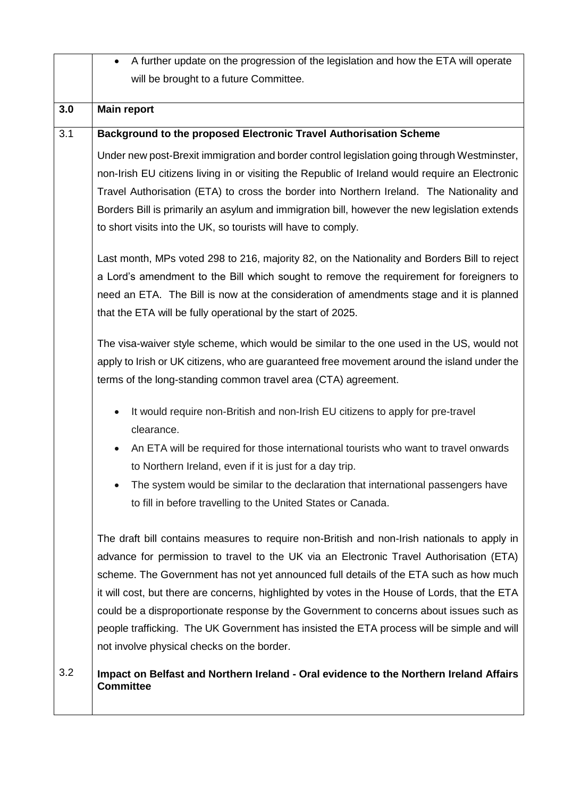|     | A further update on the progression of the legislation and how the ETA will operate                                                                                                                                                                                                                                                                                                                                                                                                                                                                                                                                      |
|-----|--------------------------------------------------------------------------------------------------------------------------------------------------------------------------------------------------------------------------------------------------------------------------------------------------------------------------------------------------------------------------------------------------------------------------------------------------------------------------------------------------------------------------------------------------------------------------------------------------------------------------|
|     | will be brought to a future Committee.                                                                                                                                                                                                                                                                                                                                                                                                                                                                                                                                                                                   |
|     |                                                                                                                                                                                                                                                                                                                                                                                                                                                                                                                                                                                                                          |
| 3.0 | <b>Main report</b>                                                                                                                                                                                                                                                                                                                                                                                                                                                                                                                                                                                                       |
| 3.1 | Background to the proposed Electronic Travel Authorisation Scheme                                                                                                                                                                                                                                                                                                                                                                                                                                                                                                                                                        |
|     | Under new post-Brexit immigration and border control legislation going through Westminster,<br>non-Irish EU citizens living in or visiting the Republic of Ireland would require an Electronic<br>Travel Authorisation (ETA) to cross the border into Northern Ireland. The Nationality and<br>Borders Bill is primarily an asylum and immigration bill, however the new legislation extends<br>to short visits into the UK, so tourists will have to comply.                                                                                                                                                            |
|     | Last month, MPs voted 298 to 216, majority 82, on the Nationality and Borders Bill to reject<br>a Lord's amendment to the Bill which sought to remove the requirement for foreigners to<br>need an ETA. The Bill is now at the consideration of amendments stage and it is planned<br>that the ETA will be fully operational by the start of 2025.                                                                                                                                                                                                                                                                       |
|     | The visa-waiver style scheme, which would be similar to the one used in the US, would not<br>apply to Irish or UK citizens, who are guaranteed free movement around the island under the<br>terms of the long-standing common travel area (CTA) agreement.                                                                                                                                                                                                                                                                                                                                                               |
|     | It would require non-British and non-Irish EU citizens to apply for pre-travel<br>$\bullet$<br>clearance.                                                                                                                                                                                                                                                                                                                                                                                                                                                                                                                |
|     | An ETA will be required for those international tourists who want to travel onwards<br>$\bullet$                                                                                                                                                                                                                                                                                                                                                                                                                                                                                                                         |
|     | to Northern Ireland, even if it is just for a day trip.                                                                                                                                                                                                                                                                                                                                                                                                                                                                                                                                                                  |
|     | The system would be similar to the declaration that international passengers have<br>to fill in before travelling to the United States or Canada.                                                                                                                                                                                                                                                                                                                                                                                                                                                                        |
|     | The draft bill contains measures to require non-British and non-Irish nationals to apply in<br>advance for permission to travel to the UK via an Electronic Travel Authorisation (ETA)<br>scheme. The Government has not yet announced full details of the ETA such as how much<br>it will cost, but there are concerns, highlighted by votes in the House of Lords, that the ETA<br>could be a disproportionate response by the Government to concerns about issues such as<br>people trafficking. The UK Government has insisted the ETA process will be simple and will<br>not involve physical checks on the border. |
| 3.2 | Impact on Belfast and Northern Ireland - Oral evidence to the Northern Ireland Affairs<br><b>Committee</b>                                                                                                                                                                                                                                                                                                                                                                                                                                                                                                               |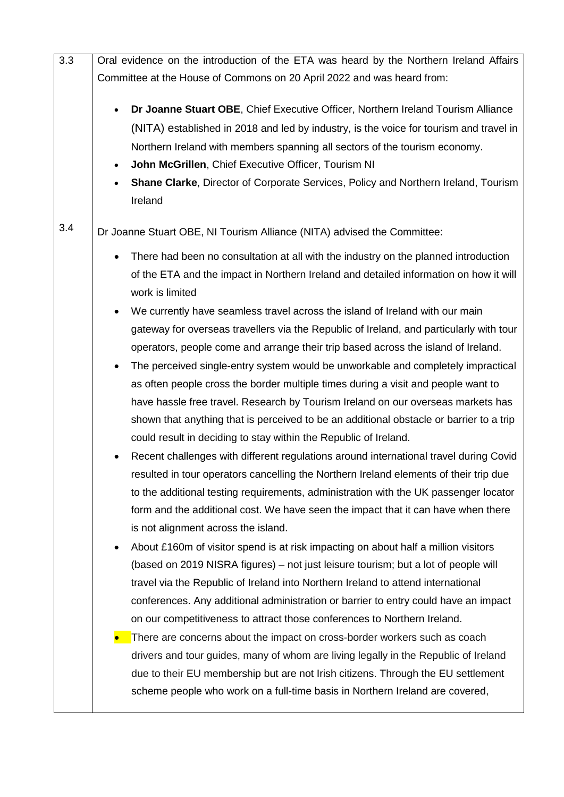| 3.3 | Oral evidence on the introduction of the ETA was heard by the Northern Ireland Affairs                                                                                                                                                                                                                                                                                                                                        |
|-----|-------------------------------------------------------------------------------------------------------------------------------------------------------------------------------------------------------------------------------------------------------------------------------------------------------------------------------------------------------------------------------------------------------------------------------|
|     | Committee at the House of Commons on 20 April 2022 and was heard from:                                                                                                                                                                                                                                                                                                                                                        |
|     | Dr Joanne Stuart OBE, Chief Executive Officer, Northern Ireland Tourism Alliance<br>(NITA) established in 2018 and led by industry, is the voice for tourism and travel in<br>Northern Ireland with members spanning all sectors of the tourism economy.<br>John McGrillen, Chief Executive Officer, Tourism NI<br>$\bullet$<br>Shane Clarke, Director of Corporate Services, Policy and Northern Ireland, Tourism<br>Ireland |
| 3.4 | Dr Joanne Stuart OBE, NI Tourism Alliance (NITA) advised the Committee:                                                                                                                                                                                                                                                                                                                                                       |
|     | There had been no consultation at all with the industry on the planned introduction                                                                                                                                                                                                                                                                                                                                           |
|     | of the ETA and the impact in Northern Ireland and detailed information on how it will<br>work is limited                                                                                                                                                                                                                                                                                                                      |
|     | We currently have seamless travel across the island of Ireland with our main<br>$\bullet$                                                                                                                                                                                                                                                                                                                                     |
|     | gateway for overseas travellers via the Republic of Ireland, and particularly with tour                                                                                                                                                                                                                                                                                                                                       |
|     | operators, people come and arrange their trip based across the island of Ireland.                                                                                                                                                                                                                                                                                                                                             |
|     | The perceived single-entry system would be unworkable and completely impractical<br>$\bullet$                                                                                                                                                                                                                                                                                                                                 |
|     | as often people cross the border multiple times during a visit and people want to                                                                                                                                                                                                                                                                                                                                             |
|     | have hassle free travel. Research by Tourism Ireland on our overseas markets has                                                                                                                                                                                                                                                                                                                                              |
|     | shown that anything that is perceived to be an additional obstacle or barrier to a trip                                                                                                                                                                                                                                                                                                                                       |
|     | could result in deciding to stay within the Republic of Ireland.                                                                                                                                                                                                                                                                                                                                                              |
|     | Recent challenges with different regulations around international travel during Covid                                                                                                                                                                                                                                                                                                                                         |
|     | resulted in tour operators cancelling the Northern Ireland elements of their trip due                                                                                                                                                                                                                                                                                                                                         |
|     | to the additional testing requirements, administration with the UK passenger locator                                                                                                                                                                                                                                                                                                                                          |
|     | form and the additional cost. We have seen the impact that it can have when there                                                                                                                                                                                                                                                                                                                                             |
|     | is not alignment across the island.                                                                                                                                                                                                                                                                                                                                                                                           |
|     | About £160m of visitor spend is at risk impacting on about half a million visitors<br>٠                                                                                                                                                                                                                                                                                                                                       |
|     | (based on 2019 NISRA figures) – not just leisure tourism; but a lot of people will                                                                                                                                                                                                                                                                                                                                            |
|     | travel via the Republic of Ireland into Northern Ireland to attend international                                                                                                                                                                                                                                                                                                                                              |
|     | conferences. Any additional administration or barrier to entry could have an impact                                                                                                                                                                                                                                                                                                                                           |
|     | on our competitiveness to attract those conferences to Northern Ireland.                                                                                                                                                                                                                                                                                                                                                      |
|     | There are concerns about the impact on cross-border workers such as coach                                                                                                                                                                                                                                                                                                                                                     |
|     | drivers and tour guides, many of whom are living legally in the Republic of Ireland<br>due to their EU membership but are not Irish citizens. Through the EU settlement                                                                                                                                                                                                                                                       |
|     | scheme people who work on a full-time basis in Northern Ireland are covered,                                                                                                                                                                                                                                                                                                                                                  |
|     |                                                                                                                                                                                                                                                                                                                                                                                                                               |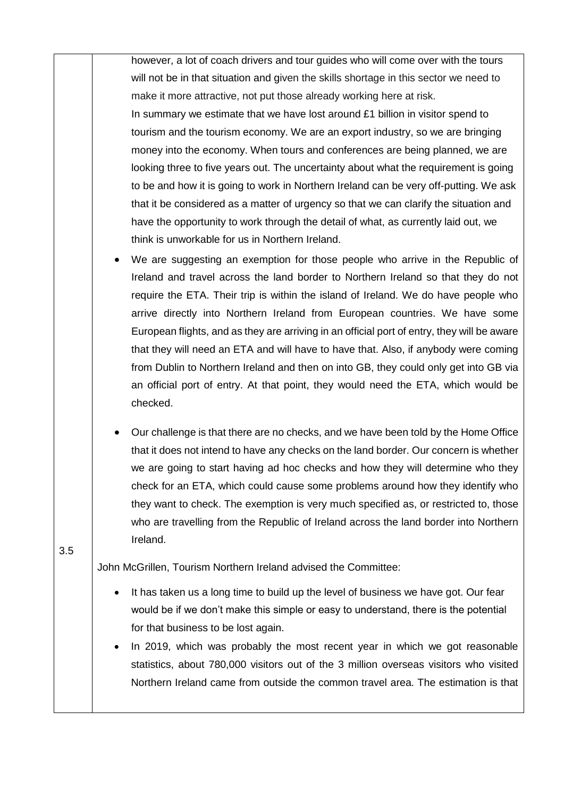|     | however, a lot of coach drivers and tour guides who will come over with the tours                                                                                                                                                                                                                                                                                                                                                                                                                                                             |
|-----|-----------------------------------------------------------------------------------------------------------------------------------------------------------------------------------------------------------------------------------------------------------------------------------------------------------------------------------------------------------------------------------------------------------------------------------------------------------------------------------------------------------------------------------------------|
|     | will not be in that situation and given the skills shortage in this sector we need to                                                                                                                                                                                                                                                                                                                                                                                                                                                         |
|     | make it more attractive, not put those already working here at risk.                                                                                                                                                                                                                                                                                                                                                                                                                                                                          |
|     | In summary we estimate that we have lost around $£1$ billion in visitor spend to                                                                                                                                                                                                                                                                                                                                                                                                                                                              |
|     | tourism and the tourism economy. We are an export industry, so we are bringing                                                                                                                                                                                                                                                                                                                                                                                                                                                                |
|     | money into the economy. When tours and conferences are being planned, we are                                                                                                                                                                                                                                                                                                                                                                                                                                                                  |
|     | looking three to five years out. The uncertainty about what the requirement is going                                                                                                                                                                                                                                                                                                                                                                                                                                                          |
|     | to be and how it is going to work in Northern Ireland can be very off-putting. We ask                                                                                                                                                                                                                                                                                                                                                                                                                                                         |
|     | that it be considered as a matter of urgency so that we can clarify the situation and                                                                                                                                                                                                                                                                                                                                                                                                                                                         |
|     | have the opportunity to work through the detail of what, as currently laid out, we                                                                                                                                                                                                                                                                                                                                                                                                                                                            |
|     | think is unworkable for us in Northern Ireland.                                                                                                                                                                                                                                                                                                                                                                                                                                                                                               |
|     | We are suggesting an exemption for those people who arrive in the Republic of                                                                                                                                                                                                                                                                                                                                                                                                                                                                 |
|     | Ireland and travel across the land border to Northern Ireland so that they do not<br>require the ETA. Their trip is within the island of Ireland. We do have people who<br>arrive directly into Northern Ireland from European countries. We have some                                                                                                                                                                                                                                                                                        |
|     | European flights, and as they are arriving in an official port of entry, they will be aware<br>that they will need an ETA and will have to have that. Also, if anybody were coming<br>from Dublin to Northern Ireland and then on into GB, they could only get into GB via<br>an official port of entry. At that point, they would need the ETA, which would be<br>checked.                                                                                                                                                                   |
| 3.5 | Our challenge is that there are no checks, and we have been told by the Home Office<br>that it does not intend to have any checks on the land border. Our concern is whether<br>we are going to start having ad hoc checks and how they will determine who they<br>check for an ETA, which could cause some problems around how they identify who<br>they want to check. The exemption is very much specified as, or restricted to, those<br>who are travelling from the Republic of Ireland across the land border into Northern<br>Ireland. |
|     | John McGrillen, Tourism Northern Ireland advised the Committee:                                                                                                                                                                                                                                                                                                                                                                                                                                                                               |
|     | It has taken us a long time to build up the level of business we have got. Our fear<br>would be if we don't make this simple or easy to understand, there is the potential<br>for that business to be lost again.                                                                                                                                                                                                                                                                                                                             |
|     | In 2019, which was probably the most recent year in which we got reasonable<br>statistics, about 780,000 visitors out of the 3 million overseas visitors who visited<br>Northern Ireland came from outside the common travel area. The estimation is that                                                                                                                                                                                                                                                                                     |
|     |                                                                                                                                                                                                                                                                                                                                                                                                                                                                                                                                               |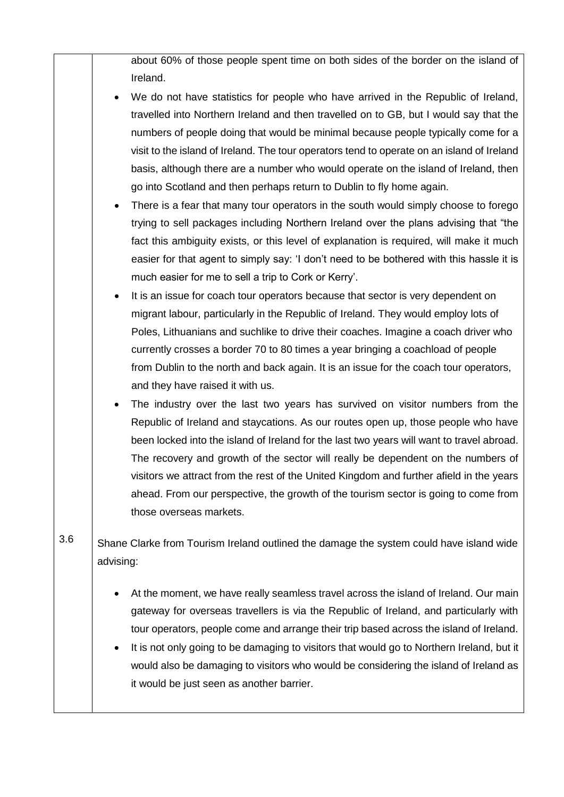about 60% of those people spent time on both sides of the border on the island of Ireland.

- We do not have statistics for people who have arrived in the Republic of Ireland, travelled into Northern Ireland and then travelled on to GB, but I would say that the numbers of people doing that would be minimal because people typically come for a visit to the island of Ireland. The tour operators tend to operate on an island of Ireland basis, although there are a number who would operate on the island of Ireland, then go into Scotland and then perhaps return to Dublin to fly home again.
- There is a fear that many tour operators in the south would simply choose to forego trying to sell packages including Northern Ireland over the plans advising that "the fact this ambiguity exists, or this level of explanation is required, will make it much easier for that agent to simply say: 'I don't need to be bothered with this hassle it is much easier for me to sell a trip to Cork or Kerry'.
- It is an issue for coach tour operators because that sector is very dependent on migrant labour, particularly in the Republic of Ireland. They would employ lots of Poles, Lithuanians and suchlike to drive their coaches. Imagine a coach driver who currently crosses a border 70 to 80 times a year bringing a coachload of people from Dublin to the north and back again. It is an issue for the coach tour operators, and they have raised it with us.
- The industry over the last two years has survived on visitor numbers from the Republic of Ireland and staycations. As our routes open up, those people who have been locked into the island of Ireland for the last two years will want to travel abroad. The recovery and growth of the sector will really be dependent on the numbers of visitors we attract from the rest of the United Kingdom and further afield in the years ahead. From our perspective, the growth of the tourism sector is going to come from those overseas markets.
- 3.6 Shane Clarke from Tourism Ireland outlined the damage the system could have island wide advising:
	- At the moment, we have really seamless travel across the island of Ireland. Our main gateway for overseas travellers is via the Republic of Ireland, and particularly with tour operators, people come and arrange their trip based across the island of Ireland.
	- It is not only going to be damaging to visitors that would go to Northern Ireland, but it would also be damaging to visitors who would be considering the island of Ireland as it would be just seen as another barrier.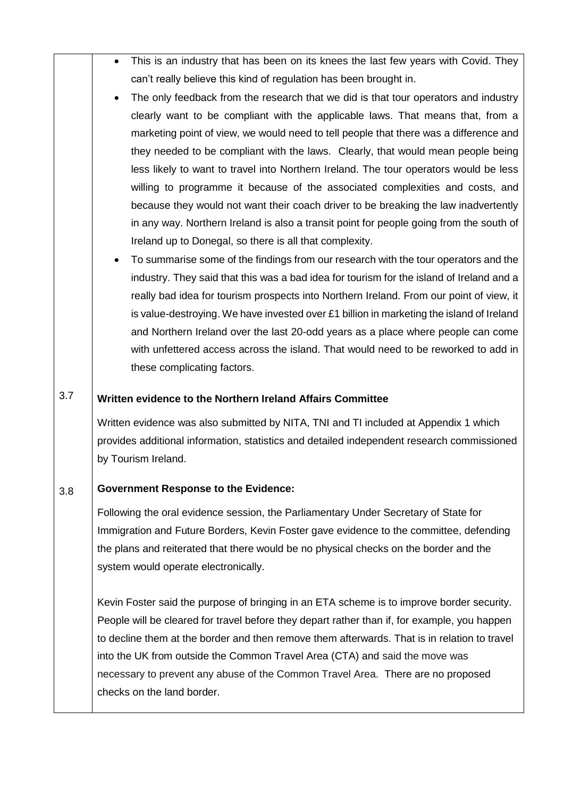- This is an industry that has been on its knees the last few years with Covid. They can't really believe this kind of regulation has been brought in.
- The only feedback from the research that we did is that tour operators and industry clearly want to be compliant with the applicable laws. That means that, from a marketing point of view, we would need to tell people that there was a difference and they needed to be compliant with the laws. Clearly, that would mean people being less likely to want to travel into Northern Ireland. The tour operators would be less willing to programme it because of the associated complexities and costs, and because they would not want their coach driver to be breaking the law inadvertently in any way. Northern Ireland is also a transit point for people going from the south of Ireland up to Donegal, so there is all that complexity.
- To summarise some of the findings from our research with the tour operators and the industry. They said that this was a bad idea for tourism for the island of Ireland and a really bad idea for tourism prospects into Northern Ireland. From our point of view, it is value-destroying. We have invested over  $£1$  billion in marketing the island of Ireland and Northern Ireland over the last 20-odd years as a place where people can come with unfettered access across the island. That would need to be reworked to add in these complicating factors.

## 3.7 **Written evidence to the Northern Ireland Affairs Committee**

Written evidence was also submitted by NITA, TNI and TI included at Appendix 1 which provides additional information, statistics and detailed independent research commissioned by Tourism Ireland.

## 3.8 **Government Response to the Evidence:**

Following the oral evidence session, the Parliamentary Under Secretary of State for Immigration and Future Borders, Kevin Foster gave evidence to the committee, defending the plans and reiterated that there would be no physical checks on the border and the system would operate electronically.

Kevin Foster said the purpose of bringing in an ETA scheme is to improve border security. People will be cleared for travel before they depart rather than if, for example, you happen to decline them at the border and then remove them afterwards. That is in relation to travel into the UK from outside the Common Travel Area (CTA) and said the move was necessary to prevent any abuse of the Common Travel Area. There are no proposed checks on the land border.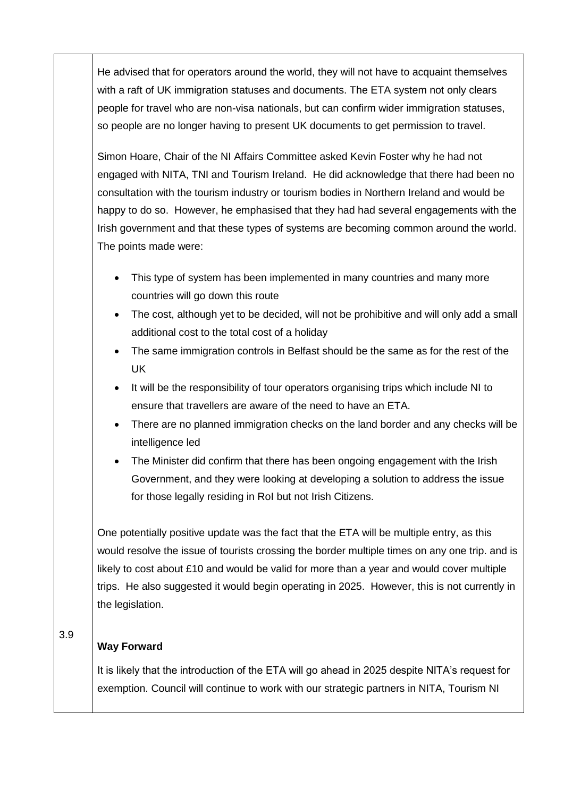He advised that for operators around the world, they will not have to acquaint themselves with a raft of UK immigration statuses and documents. The ETA system not only clears people for travel who are non-visa nationals, but can confirm wider immigration statuses, so people are no longer having to present UK documents to get permission to travel.

Simon Hoare, Chair of the NI Affairs Committee asked Kevin Foster why he had not engaged with NITA, TNI and Tourism Ireland. He did acknowledge that there had been no consultation with the tourism industry or tourism bodies in Northern Ireland and would be happy to do so. However, he emphasised that they had had several engagements with the Irish government and that these types of systems are becoming common around the world. The points made were:

- This type of system has been implemented in many countries and many more countries will go down this route
- The cost, although yet to be decided, will not be prohibitive and will only add a small additional cost to the total cost of a holiday
- The same immigration controls in Belfast should be the same as for the rest of the UK
- It will be the responsibility of tour operators organising trips which include NI to ensure that travellers are aware of the need to have an ETA.
- There are no planned immigration checks on the land border and any checks will be intelligence led
- The Minister did confirm that there has been ongoing engagement with the Irish Government, and they were looking at developing a solution to address the issue for those legally residing in RoI but not Irish Citizens.

One potentially positive update was the fact that the ETA will be multiple entry, as this would resolve the issue of tourists crossing the border multiple times on any one trip. and is likely to cost about £10 and would be valid for more than a year and would cover multiple trips. He also suggested it would begin operating in 2025. However, this is not currently in the legislation.

3.9

## **Way Forward**

It is likely that the introduction of the ETA will go ahead in 2025 despite NITA's request for exemption. Council will continue to work with our strategic partners in NITA, Tourism NI